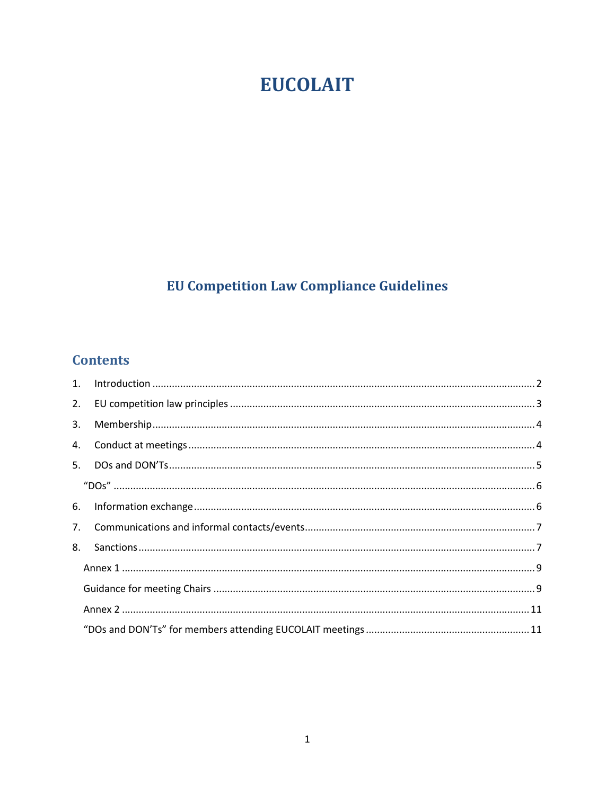# **EUCOLAIT**

# **EU Competition Law Compliance Guidelines**

# **Contents**

| 2. |  |  |
|----|--|--|
| 3. |  |  |
|    |  |  |
|    |  |  |
|    |  |  |
|    |  |  |
|    |  |  |
| 8. |  |  |
|    |  |  |
|    |  |  |
|    |  |  |
|    |  |  |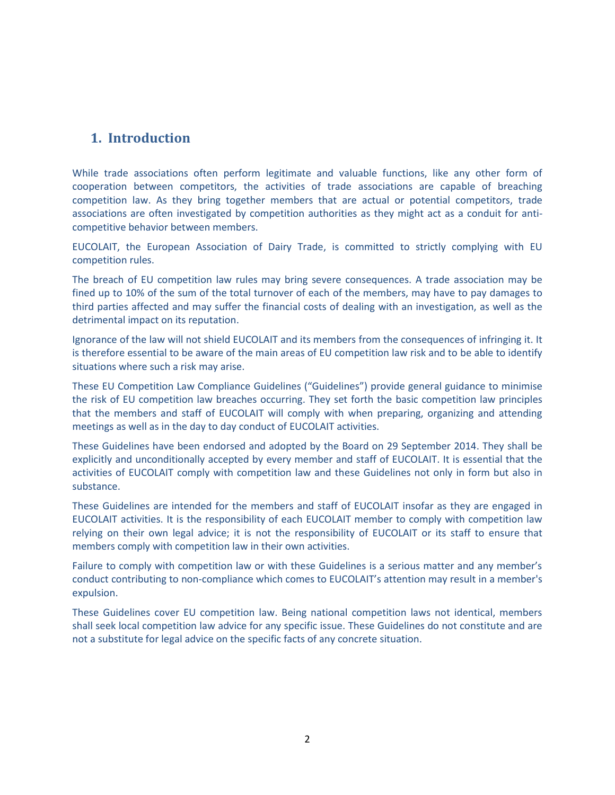## <span id="page-1-0"></span>**1. Introduction**

While trade associations often perform legitimate and valuable functions, like any other form of cooperation between competitors, the activities of trade associations are capable of breaching competition law. As they bring together members that are actual or potential competitors, trade associations are often investigated by competition authorities as they might act as a conduit for anticompetitive behavior between members.

EUCOLAIT, the European Association of Dairy Trade, is committed to strictly complying with EU competition rules.

The breach of EU competition law rules may bring severe consequences. A trade association may be fined up to 10% of the sum of the total turnover of each of the members, may have to pay damages to third parties affected and may suffer the financial costs of dealing with an investigation, as well as the detrimental impact on its reputation.

Ignorance of the law will not shield EUCOLAIT and its members from the consequences of infringing it. It is therefore essential to be aware of the main areas of EU competition law risk and to be able to identify situations where such a risk may arise.

These EU Competition Law Compliance Guidelines ("Guidelines") provide general guidance to minimise the risk of EU competition law breaches occurring. They set forth the basic competition law principles that the members and staff of EUCOLAIT will comply with when preparing, organizing and attending meetings as well as in the day to day conduct of EUCOLAIT activities.

These Guidelines have been endorsed and adopted by the Board on 29 September 2014. They shall be explicitly and unconditionally accepted by every member and staff of EUCOLAIT. It is essential that the activities of EUCOLAIT comply with competition law and these Guidelines not only in form but also in substance.

These Guidelines are intended for the members and staff of EUCOLAIT insofar as they are engaged in EUCOLAIT activities. It is the responsibility of each EUCOLAIT member to comply with competition law relying on their own legal advice; it is not the responsibility of EUCOLAIT or its staff to ensure that members comply with competition law in their own activities.

Failure to comply with competition law or with these Guidelines is a serious matter and any member's conduct contributing to non-compliance which comes to EUCOLAIT's attention may result in a member's expulsion.

These Guidelines cover EU competition law. Being national competition laws not identical, members shall seek local competition law advice for any specific issue. These Guidelines do not constitute and are not a substitute for legal advice on the specific facts of any concrete situation.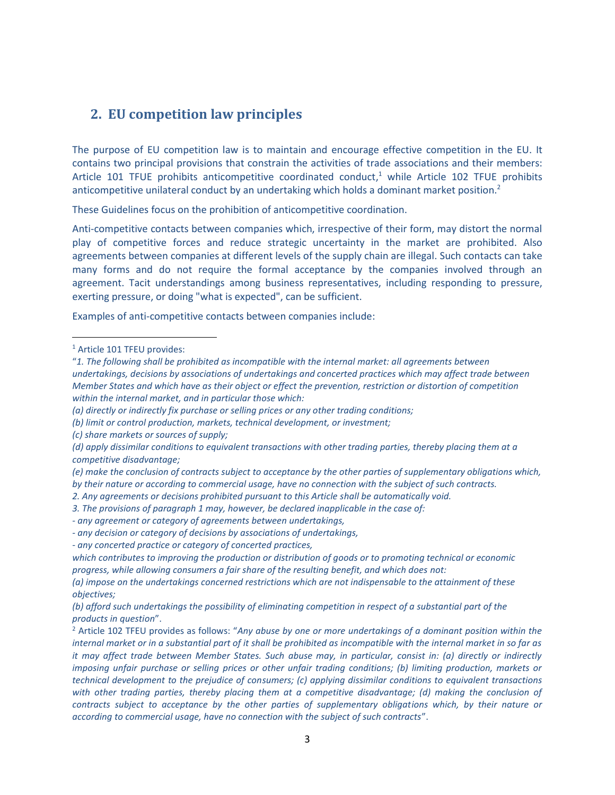#### <span id="page-2-0"></span>**2. EU competition law principles**

The purpose of EU competition law is to maintain and encourage effective competition in the EU. It contains two principal provisions that constrain the activities of trade associations and their members: Article 101 TFUE prohibits anticompetitive coordinated conduct,<sup>1</sup> while Article 102 TFUE prohibits anticompetitive unilateral conduct by an undertaking which holds a dominant market position.<sup>2</sup>

These Guidelines focus on the prohibition of anticompetitive coordination.

Anti-competitive contacts between companies which, irrespective of their form, may distort the normal play of competitive forces and reduce strategic uncertainty in the market are prohibited. Also agreements between companies at different levels of the supply chain are illegal. Such contacts can take many forms and do not require the formal acceptance by the companies involved through an agreement. Tacit understandings among business representatives, including responding to pressure, exerting pressure, or doing "what is expected", can be sufficient.

Examples of anti-competitive contacts between companies include:

 $\overline{a}$ 

- *(e) make the conclusion of contracts subject to acceptance by the other parties of supplementary obligations which, by their nature or according to commercial usage, have no connection with the subject of such contracts.*
- *2. Any agreements or decisions prohibited pursuant to this Article shall be automatically void.*
- *3. The provisions of paragraph 1 may, however, be declared inapplicable in the case of:*
- *- any agreement or category of agreements between undertakings,*
- *- any decision or category of decisions by associations of undertakings,*
- *- any concerted practice or category of concerted practices,*

<sup>1</sup> Article 101 TFEU provides:

<sup>&</sup>quot;*1. The following shall be prohibited as incompatible with the internal market: all agreements between undertakings, decisions by associations of undertakings and concerted practices which may affect trade between Member States and which have as their object or effect the prevention, restriction or distortion of competition within the internal market, and in particular those which:*

*<sup>(</sup>a) directly or indirectly fix purchase or selling prices or any other trading conditions;*

*<sup>(</sup>b) limit or control production, markets, technical development, or investment;*

*<sup>(</sup>c) share markets or sources of supply;*

*<sup>(</sup>d) apply dissimilar conditions to equivalent transactions with other trading parties, thereby placing them at a competitive disadvantage;*

*which contributes to improving the production or distribution of goods or to promoting technical or economic progress, while allowing consumers a fair share of the resulting benefit, and which does not:*

*<sup>(</sup>a) impose on the undertakings concerned restrictions which are not indispensable to the attainment of these objectives;*

*<sup>(</sup>b) afford such undertakings the possibility of eliminating competition in respect of a substantial part of the products in question*".

<sup>2</sup> Article 102 TFEU provides as follows: "*Any abuse by one or more undertakings of a dominant position within the internal market or in a substantial part of it shall be prohibited as incompatible with the internal market in so far as it may affect trade between Member States. Such abuse may, in particular, consist in: (a) directly or indirectly imposing unfair purchase or selling prices or other unfair trading conditions; (b) limiting production, markets or technical development to the prejudice of consumers; (c) applying dissimilar conditions to equivalent transactions with other trading parties, thereby placing them at a competitive disadvantage; (d) making the conclusion of contracts subject to acceptance by the other parties of supplementary obligations which, by their nature or according to commercial usage, have no connection with the subject of such contracts*".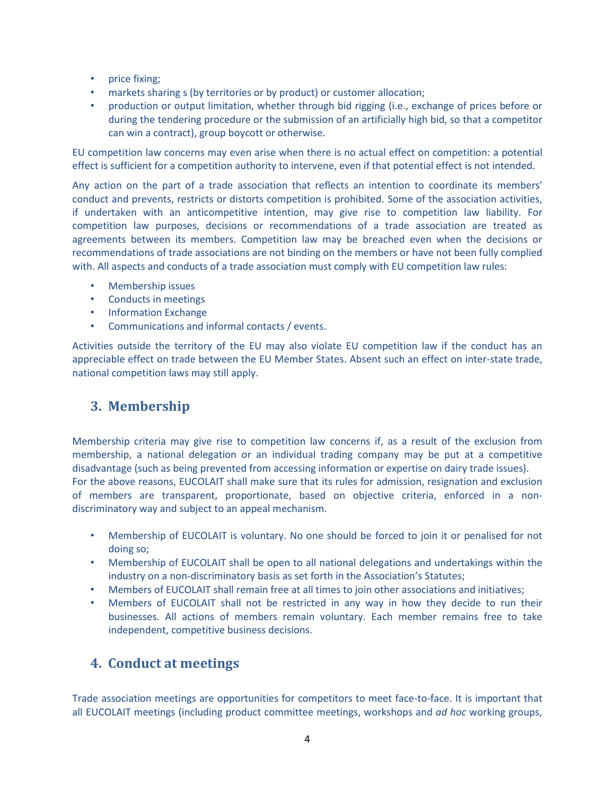- price fixing;
- markets sharing s (by territories or by product) or customer allocation;
- production or output limitation, whether through bid rigging (i.e., exchange of prices before or during the tendering procedure or the submission of an artificially high bid, so that a competitor can win a contract), group boycott or otherwise.

EU competition law concerns may even arise when there is no actual effect on competition: a potential effect is sufficient for a competition authority to intervene, even if that potential effect is not intended.

Any action on the part of a trade association that reflects an intention to coordinate its members' conduct and prevents, restricts or distorts competition is prohibited. Some of the association activities, if undertaken with an anticompetitive intention, may give rise to competition law liability. For competition law purposes, decisions or recommendations of a trade association are treated as agreements between its members. Competition law may be breached even when the decisions or recommendations of trade associations are not binding on the members or have not been fully complied with. All aspects and conducts of a trade association must comply with EU competition law rules:

- Membership issues
- Conducts in meetings
- Information Exchange
- Communications and informal contacts / events.

Activities outside the territory of the EU may also violate EU competition law if the conduct has an appreciable effect on trade between the EU Member States. Absent such an effect on inter-state trade, national competition laws may still apply.

## <span id="page-3-0"></span>**3. Membership**

Membership criteria may give rise to competition law concerns if, as a result of the exclusion from membership, a national delegation or an individual trading company may be put at a competitive disadvantage (such as being prevented from accessing information or expertise on dairy trade issues). For the above reasons, EUCOLAIT shall make sure that its rules for admission, resignation and exclusion of members are transparent, proportionate, based on objective criteria, enforced in a nondiscriminatory way and subject to an appeal mechanism.

- Membership of EUCOLAIT is voluntary. No one should be forced to join it or penalised for not doing so;
- Membership of EUCOLAIT shall be open to all national delegations and undertakings within the industry on a non-discriminatory basis as set forth in the Association's Statutes;
- Members of EUCOLAIT shall remain free at all times to join other associations and initiatives;
- Members of EUCOLAIT shall not be restricted in any way in how they decide to run their businesses. All actions of members remain voluntary. Each member remains free to take independent, competitive business decisions.

## <span id="page-3-1"></span>**4. Conduct at meetings**

Trade association meetings are opportunities for competitors to meet face-to-face. It is important that all EUCOLAIT meetings (including product committee meetings, workshops and *ad hoc* working groups,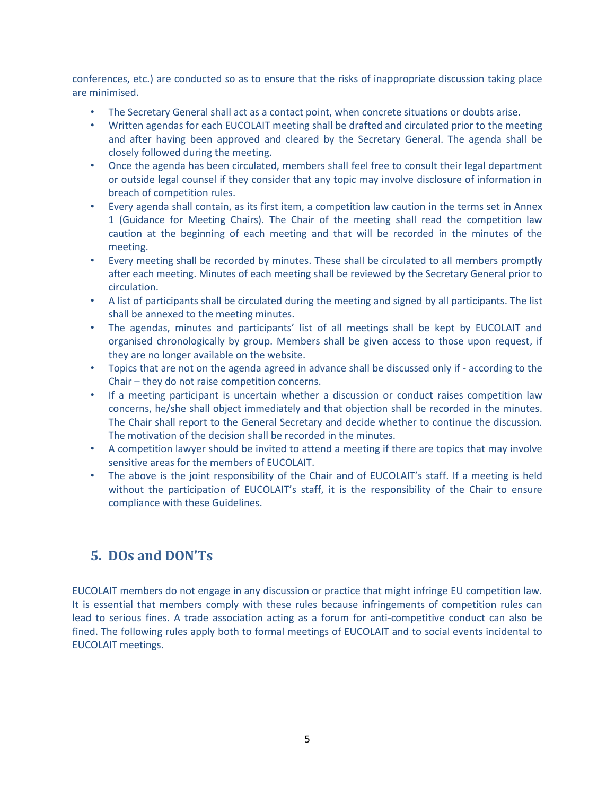conferences, etc.) are conducted so as to ensure that the risks of inappropriate discussion taking place are minimised.

- The Secretary General shall act as a contact point, when concrete situations or doubts arise.
- Written agendas for each EUCOLAIT meeting shall be drafted and circulated prior to the meeting and after having been approved and cleared by the Secretary General. The agenda shall be closely followed during the meeting.
- Once the agenda has been circulated, members shall feel free to consult their legal department or outside legal counsel if they consider that any topic may involve disclosure of information in breach of competition rules.
- Every agenda shall contain, as its first item, a competition law caution in the terms set in Annex 1 (Guidance for Meeting Chairs). The Chair of the meeting shall read the competition law caution at the beginning of each meeting and that will be recorded in the minutes of the meeting.
- Every meeting shall be recorded by minutes. These shall be circulated to all members promptly after each meeting. Minutes of each meeting shall be reviewed by the Secretary General prior to circulation.
- A list of participants shall be circulated during the meeting and signed by all participants. The list shall be annexed to the meeting minutes.
- The agendas, minutes and participants' list of all meetings shall be kept by EUCOLAIT and organised chronologically by group. Members shall be given access to those upon request, if they are no longer available on the website.
- Topics that are not on the agenda agreed in advance shall be discussed only if according to the Chair – they do not raise competition concerns.
- If a meeting participant is uncertain whether a discussion or conduct raises competition law concerns, he/she shall object immediately and that objection shall be recorded in the minutes. The Chair shall report to the General Secretary and decide whether to continue the discussion. The motivation of the decision shall be recorded in the minutes.
- A competition lawyer should be invited to attend a meeting if there are topics that may involve sensitive areas for the members of EUCOLAIT.
- The above is the joint responsibility of the Chair and of EUCOLAIT's staff. If a meeting is held without the participation of EUCOLAIT's staff, it is the responsibility of the Chair to ensure compliance with these Guidelines.

## <span id="page-4-0"></span>**5. DOs and DON'Ts**

EUCOLAIT members do not engage in any discussion or practice that might infringe EU competition law. It is essential that members comply with these rules because infringements of competition rules can lead to serious fines. A trade association acting as a forum for anti-competitive conduct can also be fined. The following rules apply both to formal meetings of EUCOLAIT and to social events incidental to EUCOLAIT meetings.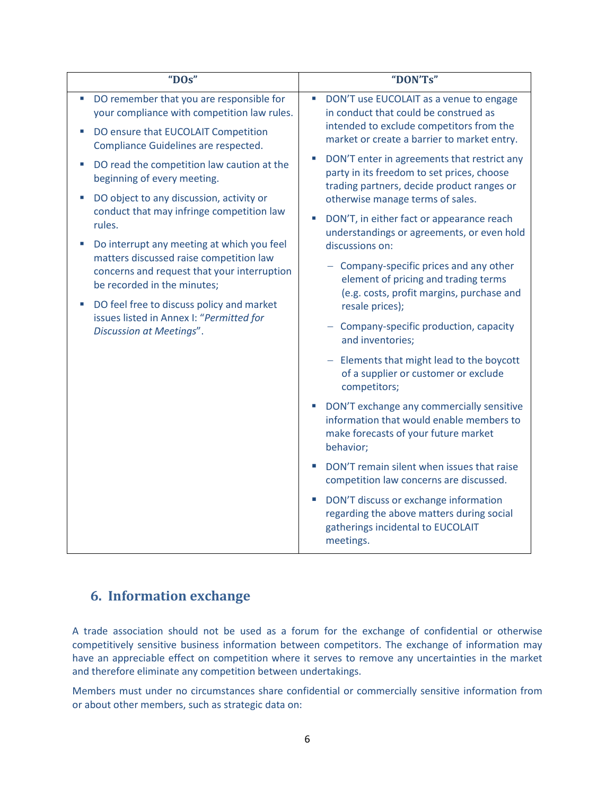<span id="page-5-0"></span>

| "DOs"                                                                                                                                                                                                                                                                                                                                                                 | "DON'Ts"                                                                                                                                                                                                |
|-----------------------------------------------------------------------------------------------------------------------------------------------------------------------------------------------------------------------------------------------------------------------------------------------------------------------------------------------------------------------|---------------------------------------------------------------------------------------------------------------------------------------------------------------------------------------------------------|
| DO remember that you are responsible for<br>your compliance with competition law rules.<br>DO ensure that EUCOLAIT Competition<br>Compliance Guidelines are respected.                                                                                                                                                                                                | DON'T use EUCOLAIT as a venue to engage<br>$\overline{\phantom{a}}$<br>in conduct that could be construed as<br>intended to exclude competitors from the<br>market or create a barrier to market entry. |
| DO read the competition law caution at the<br>×,<br>beginning of every meeting.<br>DO object to any discussion, activity or<br>T,<br>conduct that may infringe competition law<br>rules.<br>Do interrupt any meeting at which you feel<br>×,<br>matters discussed raise competition law<br>concerns and request that your interruption<br>be recorded in the minutes; | DON'T enter in agreements that restrict any<br>L.<br>party in its freedom to set prices, choose<br>trading partners, decide product ranges or<br>otherwise manage terms of sales.                       |
|                                                                                                                                                                                                                                                                                                                                                                       | DON'T, in either fact or appearance reach<br>×.<br>understandings or agreements, or even hold<br>discussions on:                                                                                        |
|                                                                                                                                                                                                                                                                                                                                                                       | - Company-specific prices and any other<br>element of pricing and trading terms<br>(e.g. costs, profit margins, purchase and                                                                            |
| DO feel free to discuss policy and market<br>issues listed in Annex I: "Permitted for<br>Discussion at Meetings".                                                                                                                                                                                                                                                     | resale prices);<br>Company-specific production, capacity<br>and inventories;                                                                                                                            |
|                                                                                                                                                                                                                                                                                                                                                                       | Elements that might lead to the boycott<br>of a supplier or customer or exclude<br>competitors;                                                                                                         |
|                                                                                                                                                                                                                                                                                                                                                                       | DON'T exchange any commercially sensitive<br>$\mathcal{L}_{\mathcal{A}}$<br>information that would enable members to<br>make forecasts of your future market<br>behavior;                               |
|                                                                                                                                                                                                                                                                                                                                                                       | DON'T remain silent when issues that raise<br>competition law concerns are discussed.                                                                                                                   |
|                                                                                                                                                                                                                                                                                                                                                                       | DON'T discuss or exchange information<br>×.<br>regarding the above matters during social<br>gatherings incidental to EUCOLAIT<br>meetings.                                                              |

## <span id="page-5-1"></span>**6. Information exchange**

A trade association should not be used as a forum for the exchange of confidential or otherwise competitively sensitive business information between competitors. The exchange of information may have an appreciable effect on competition where it serves to remove any uncertainties in the market and therefore eliminate any competition between undertakings.

Members must under no circumstances share confidential or commercially sensitive information from or about other members, such as strategic data on: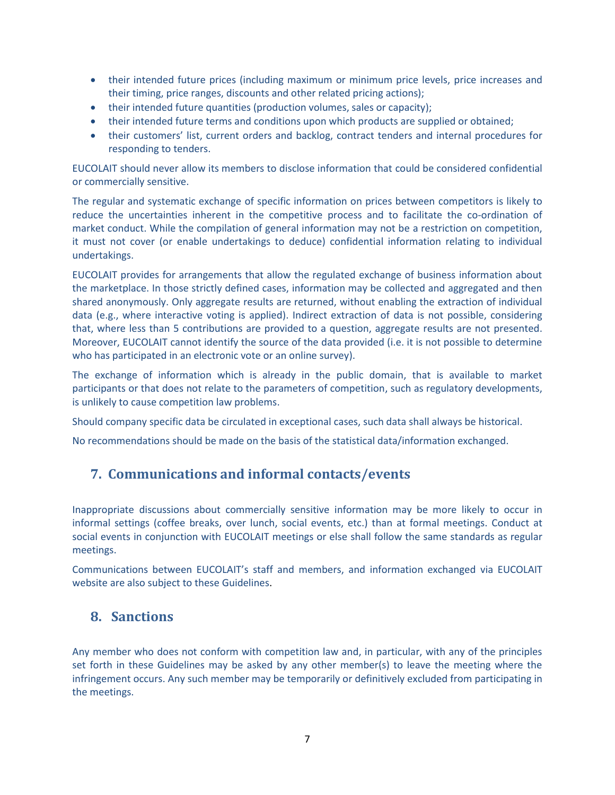- their intended future prices (including maximum or minimum price levels, price increases and their timing, price ranges, discounts and other related pricing actions);
- their intended future quantities (production volumes, sales or capacity);
- their intended future terms and conditions upon which products are supplied or obtained;
- their customers' list, current orders and backlog, contract tenders and internal procedures for responding to tenders.

EUCOLAIT should never allow its members to disclose information that could be considered confidential or commercially sensitive.

The regular and systematic exchange of specific information on prices between competitors is likely to reduce the uncertainties inherent in the competitive process and to facilitate the co-ordination of market conduct. While the compilation of general information may not be a restriction on competition, it must not cover (or enable undertakings to deduce) confidential information relating to individual undertakings.

EUCOLAIT provides for arrangements that allow the regulated exchange of business information about the marketplace. In those strictly defined cases, information may be collected and aggregated and then shared anonymously. Only aggregate results are returned, without enabling the extraction of individual data (e.g., where interactive voting is applied). Indirect extraction of data is not possible, considering that, where less than 5 contributions are provided to a question, aggregate results are not presented. Moreover, EUCOLAIT cannot identify the source of the data provided (i.e. it is not possible to determine who has participated in an electronic vote or an online survey).

The exchange of information which is already in the public domain, that is available to market participants or that does not relate to the parameters of competition, such as regulatory developments, is unlikely to cause competition law problems.

Should company specific data be circulated in exceptional cases, such data shall always be historical.

<span id="page-6-0"></span>No recommendations should be made on the basis of the statistical data/information exchanged.

## **7. Communications and informal contacts/events**

Inappropriate discussions about commercially sensitive information may be more likely to occur in informal settings (coffee breaks, over lunch, social events, etc.) than at formal meetings. Conduct at social events in conjunction with EUCOLAIT meetings or else shall follow the same standards as regular meetings.

Communications between EUCOLAIT's staff and members, and information exchanged via EUCOLAIT website are also subject to these Guidelines.

#### <span id="page-6-1"></span>**8. Sanctions**

Any member who does not conform with competition law and, in particular, with any of the principles set forth in these Guidelines may be asked by any other member(s) to leave the meeting where the infringement occurs. Any such member may be temporarily or definitively excluded from participating in the meetings.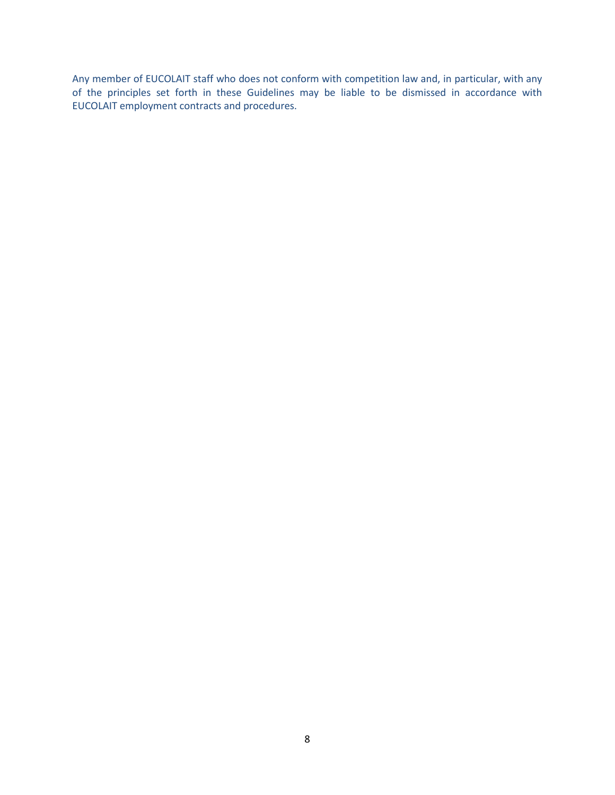Any member of EUCOLAIT staff who does not conform with competition law and, in particular, with any of the principles set forth in these Guidelines may be liable to be dismissed in accordance with EUCOLAIT employment contracts and procedures.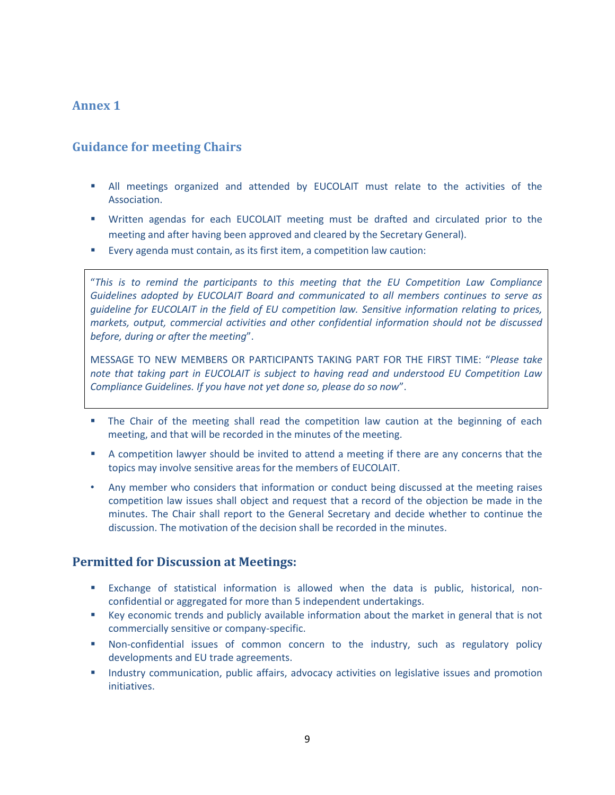#### <span id="page-8-0"></span>**Annex 1**

#### <span id="page-8-1"></span>**Guidance for meeting Chairs**

- All meetings organized and attended by EUCOLAIT must relate to the activities of the Association.
- Written agendas for each EUCOLAIT meeting must be drafted and circulated prior to the meeting and after having been approved and cleared by the Secretary General).
- Every agenda must contain, as its first item, a competition law caution:

"*This is to remind the participants to this meeting that the EU Competition Law Compliance Guidelines adopted by EUCOLAIT Board and communicated to all members continues to serve as guideline for EUCOLAIT in the field of EU competition law. Sensitive information relating to prices, markets, output, commercial activities and other confidential information should not be discussed before, during or after the meeting*".

MESSAGE TO NEW MEMBERS OR PARTICIPANTS TAKING PART FOR THE FIRST TIME: "*Please take note that taking part in EUCOLAIT is subject to having read and understood EU Competition Law Compliance Guidelines. If you have not yet done so, please do so now*".

- The Chair of the meeting shall read the competition law caution at the beginning of each meeting, and that will be recorded in the minutes of the meeting.
- A competition lawyer should be invited to attend a meeting if there are any concerns that the topics may involve sensitive areas for the members of EUCOLAIT.
- Any member who considers that information or conduct being discussed at the meeting raises competition law issues shall object and request that a record of the objection be made in the minutes. The Chair shall report to the General Secretary and decide whether to continue the discussion. The motivation of the decision shall be recorded in the minutes.

#### **Permitted for Discussion at Meetings:**

- Exchange of statistical information is allowed when the data is public, historical, nonconfidential or aggregated for more than 5 independent undertakings.
- Key economic trends and publicly available information about the market in general that is not commercially sensitive or company-specific.
- Non-confidential issues of common concern to the industry, such as regulatory policy developments and EU trade agreements.
- **Industry communication, public affairs, advocacy activities on legislative issues and promotion** initiatives.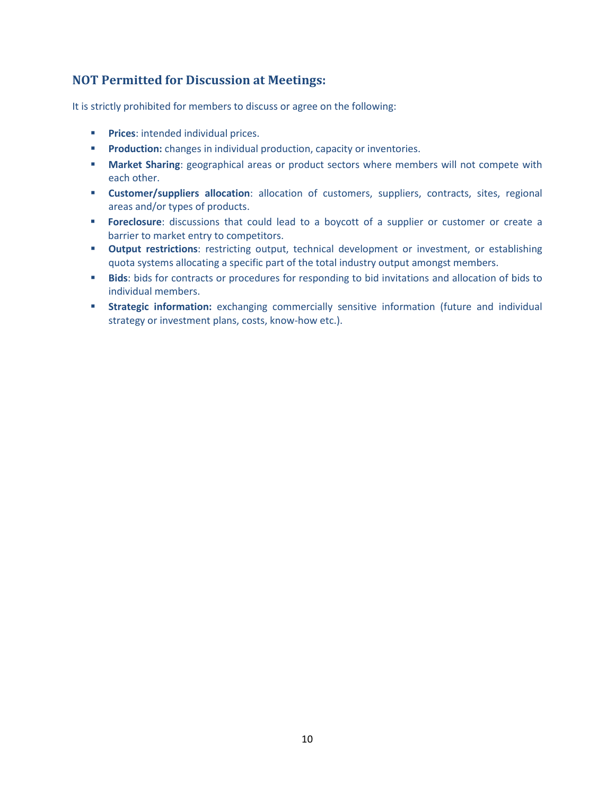#### **NOT Permitted for Discussion at Meetings:**

It is strictly prohibited for members to discuss or agree on the following:

- **Prices:** intended individual prices.
- **Production:** changes in individual production, capacity or inventories.
- **Market Sharing**: geographical areas or product sectors where members will not compete with each other.
- **Customer/suppliers allocation**: allocation of customers, suppliers, contracts, sites, regional areas and/or types of products.
- **Foreclosure:** discussions that could lead to a boycott of a supplier or customer or create a barrier to market entry to competitors.
- **Output restrictions**: restricting output, technical development or investment, or establishing quota systems allocating a specific part of the total industry output amongst members.
- **Bids**: bids for contracts or procedures for responding to bid invitations and allocation of bids to individual members.
- **Strategic information:** exchanging commercially sensitive information (future and individual strategy or investment plans, costs, know-how etc.).